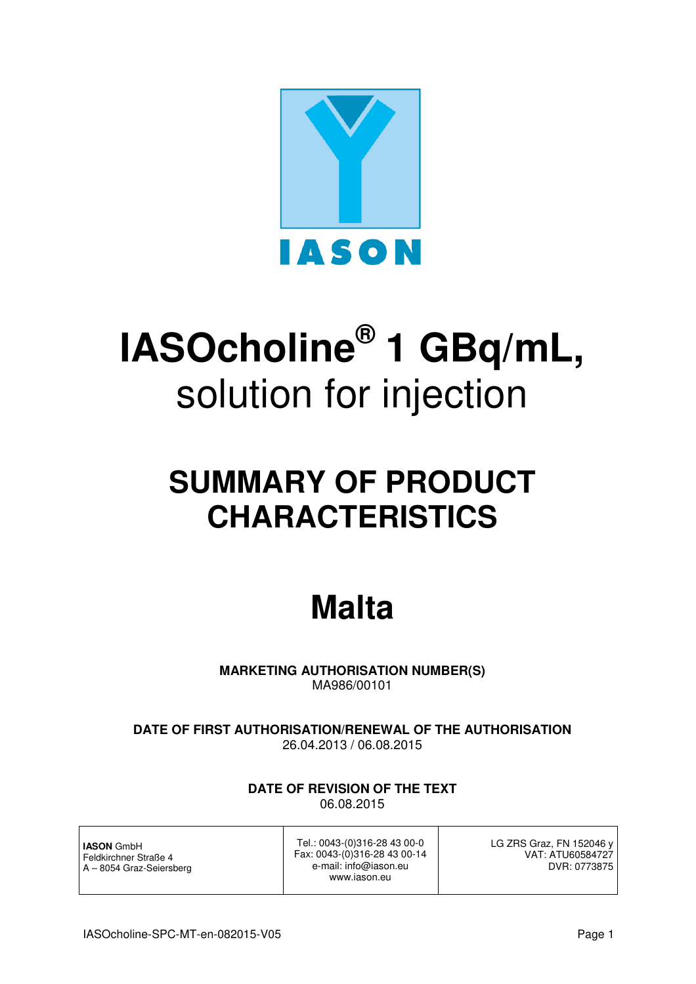

# **IASOcholine® 1 GBq/mL,**  solution for injection

# **SUMMARY OF PRODUCT CHARACTERISTICS**

# **Malta**

**MARKETING AUTHORISATION NUMBER(S)**  MA986/00101

**DATE OF FIRST AUTHORISATION/RENEWAL OF THE AUTHORISATION** 26.04.2013 / 06.08.2015

> **DATE OF REVISION OF THE TEXT**  06.08.2015

**IASON** GmbH Feldkirchner Straße 4 A – 8054 Graz-Seiersberg

Tel.: 0043-(0)316-28 43 00-0 Fax: 0043-(0)316-28 43 00-14 e-mail: info@iason.eu www.iason.eu

LG ZRS Graz, FN 152046 y VAT: ATU60584727 DVR: 0773875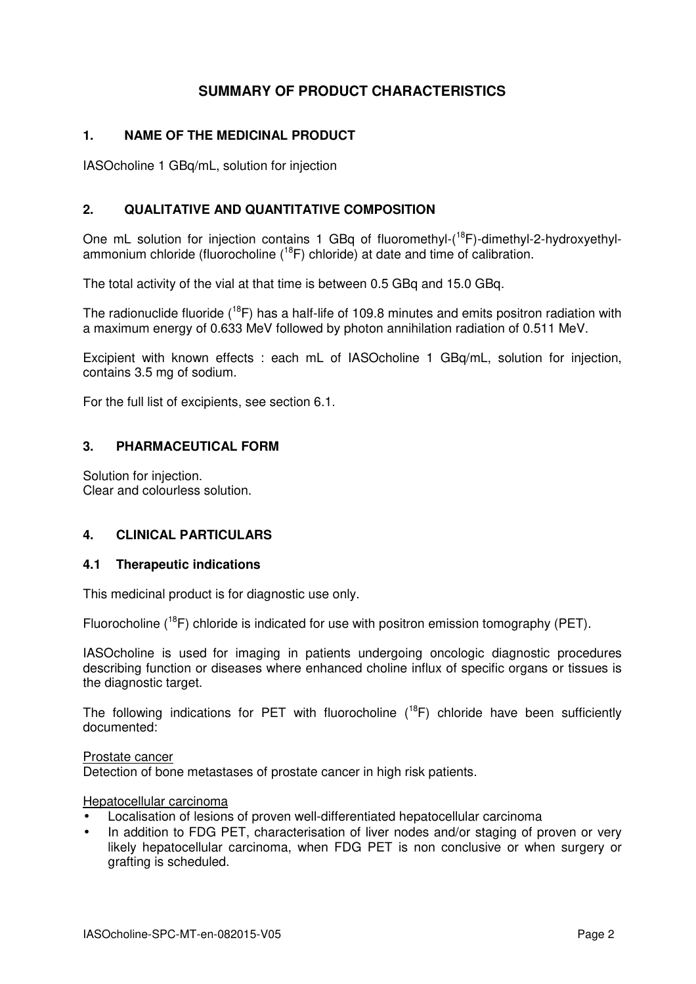# **SUMMARY OF PRODUCT CHARACTERISTICS**

# **1. NAME OF THE MEDICINAL PRODUCT**

IASOcholine 1 GBq/mL, solution for injection

# **2. QUALITATIVE AND QUANTITATIVE COMPOSITION**

One mL solution for injection contains 1 GBq of fluoromethyl-<sup>18</sup>F)-dimethyl-2-hydroxyethylammonium chloride (fluorocholine  $(^{18}F)$  chloride) at date and time of calibration.

The total activity of the vial at that time is between 0.5 GBq and 15.0 GBq.

The radionuclide fluoride  $(^{18}F)$  has a half-life of 109.8 minutes and emits positron radiation with a maximum energy of 0.633 MeV followed by photon annihilation radiation of 0.511 MeV.

Excipient with known effects : each mL of IASOcholine 1 GBq/mL, solution for injection, contains 3.5 mg of sodium.

For the full list of excipients, see section 6.1.

# **3. PHARMACEUTICAL FORM**

Solution for injection. Clear and colourless solution.

# **4. CLINICAL PARTICULARS**

# **4.1 Therapeutic indications**

This medicinal product is for diagnostic use only.

Fluorocholine  $(^{18}F)$  chloride is indicated for use with positron emission tomography (PET).

IASOcholine is used for imaging in patients undergoing oncologic diagnostic procedures describing function or diseases where enhanced choline influx of specific organs or tissues is the diagnostic target.

The following indications for PET with fluorocholine  $(^{18}F)$  chloride have been sufficiently documented:

#### Prostate cancer

Detection of bone metastases of prostate cancer in high risk patients.

# Hepatocellular carcinoma

- Localisation of lesions of proven well-differentiated hepatocellular carcinoma
- In addition to FDG PET, characterisation of liver nodes and/or staging of proven or very likely hepatocellular carcinoma, when FDG PET is non conclusive or when surgery or grafting is scheduled.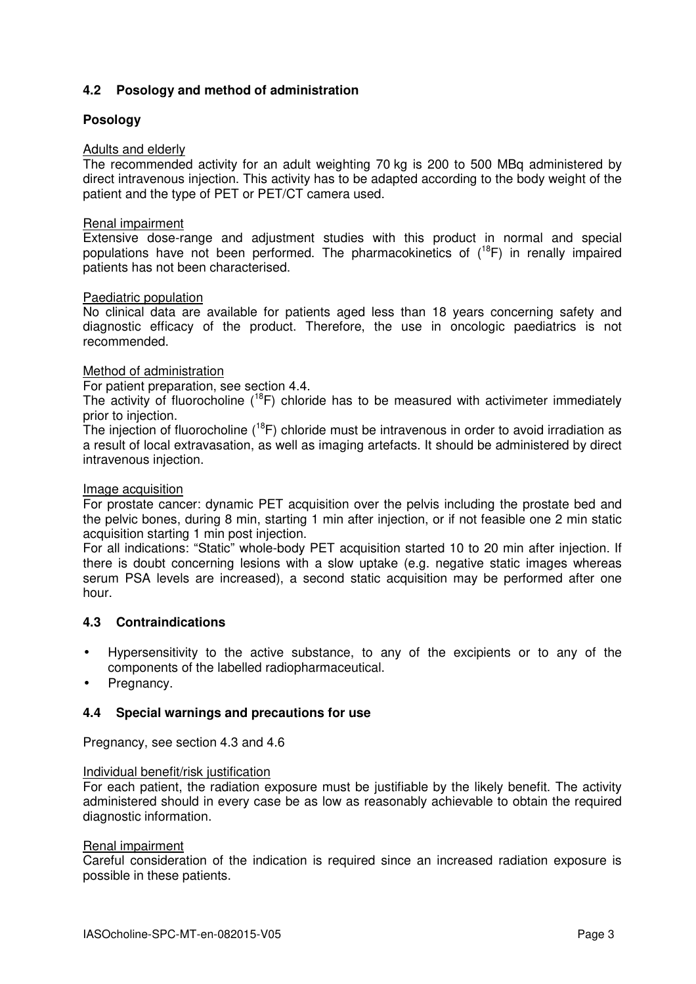# **4.2 Posology and method of administration**

# **Posology**

# Adults and elderly

The recommended activity for an adult weighting 70 kg is 200 to 500 MBq administered by direct intravenous injection. This activity has to be adapted according to the body weight of the patient and the type of PET or PET/CT camera used.

# Renal impairment

Extensive dose-range and adjustment studies with this product in normal and special populations have not been performed. The pharmacokinetics of  $(^{18}F)$  in renally impaired patients has not been characterised.

# Paediatric population

No clinical data are available for patients aged less than 18 years concerning safety and diagnostic efficacy of the product. Therefore, the use in oncologic paediatrics is not recommended.

# Method of administration

For patient preparation, see section 4.4.

The activity of fluorocholine  $(18F)$  chloride has to be measured with activimeter immediately prior to injection.

The injection of fluorocholine  $(^{18}F)$  chloride must be intravenous in order to avoid irradiation as a result of local extravasation, as well as imaging artefacts. It should be administered by direct intravenous injection.

#### Image acquisition

For prostate cancer: dynamic PET acquisition over the pelvis including the prostate bed and the pelvic bones, during 8 min, starting 1 min after injection, or if not feasible one 2 min static acquisition starting 1 min post injection.

For all indications: "Static" whole-body PET acquisition started 10 to 20 min after injection. If there is doubt concerning lesions with a slow uptake (e.g. negative static images whereas serum PSA levels are increased), a second static acquisition may be performed after one hour.

# **4.3 Contraindications**

- Hypersensitivity to the active substance, to any of the excipients or to any of the components of the labelled radiopharmaceutical.
- Pregnancy.

# **4.4 Special warnings and precautions for use**

Pregnancy, see section 4.3 and 4.6

#### Individual benefit/risk justification

For each patient, the radiation exposure must be justifiable by the likely benefit. The activity administered should in every case be as low as reasonably achievable to obtain the required diagnostic information.

#### Renal impairment

Careful consideration of the indication is required since an increased radiation exposure is possible in these patients.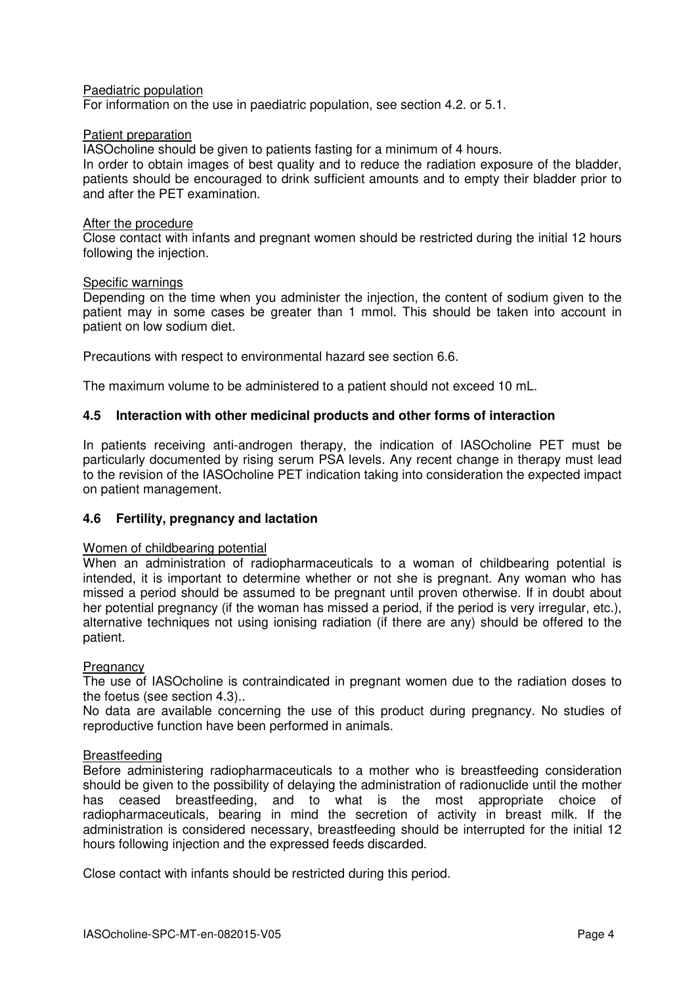# Paediatric population

For information on the use in paediatric population, see section 4.2. or 5.1.

# Patient preparation

IASOcholine should be given to patients fasting for a minimum of 4 hours.

In order to obtain images of best quality and to reduce the radiation exposure of the bladder, patients should be encouraged to drink sufficient amounts and to empty their bladder prior to and after the PET examination.

#### After the procedure

Close contact with infants and pregnant women should be restricted during the initial 12 hours following the injection.

# Specific warnings

Depending on the time when you administer the injection, the content of sodium given to the patient may in some cases be greater than 1 mmol. This should be taken into account in patient on low sodium diet.

Precautions with respect to environmental hazard see section 6.6.

The maximum volume to be administered to a patient should not exceed 10 mL.

# **4.5 Interaction with other medicinal products and other forms of interaction**

In patients receiving anti-androgen therapy, the indication of IASOcholine PET must be particularly documented by rising serum PSA levels. Any recent change in therapy must lead to the revision of the IASOcholine PET indication taking into consideration the expected impact on patient management.

# **4.6 Fertility, pregnancy and lactation**

#### Women of childbearing potential

When an administration of radiopharmaceuticals to a woman of childbearing potential is intended, it is important to determine whether or not she is pregnant. Any woman who has missed a period should be assumed to be pregnant until proven otherwise. If in doubt about her potential pregnancy (if the woman has missed a period, if the period is very irregular, etc.), alternative techniques not using ionising radiation (if there are any) should be offered to the patient.

#### **Pregnancy**

The use of IASOcholine is contraindicated in pregnant women due to the radiation doses to the foetus (see section 4.3)..

No data are available concerning the use of this product during pregnancy. No studies of reproductive function have been performed in animals.

# Breastfeeding

Before administering radiopharmaceuticals to a mother who is breastfeeding consideration should be given to the possibility of delaying the administration of radionuclide until the mother has ceased breastfeeding, and to what is the most appropriate choice of radiopharmaceuticals, bearing in mind the secretion of activity in breast milk. If the administration is considered necessary, breastfeeding should be interrupted for the initial 12 hours following injection and the expressed feeds discarded.

Close contact with infants should be restricted during this period.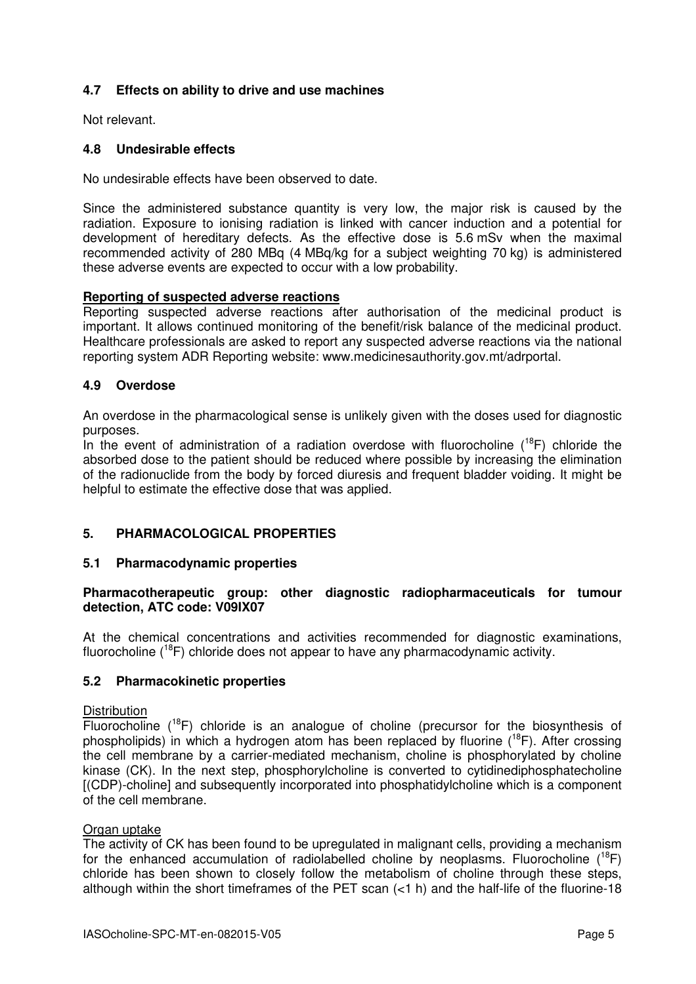# **4.7 Effects on ability to drive and use machines**

Not relevant.

# **4.8 Undesirable effects**

No undesirable effects have been observed to date.

Since the administered substance quantity is very low, the major risk is caused by the radiation. Exposure to ionising radiation is linked with cancer induction and a potential for development of hereditary defects. As the effective dose is 5.6 mSv when the maximal recommended activity of 280 MBq (4 MBq/kg for a subject weighting 70 kg) is administered these adverse events are expected to occur with a low probability.

# **Reporting of suspected adverse reactions**

Reporting suspected adverse reactions after authorisation of the medicinal product is important. It allows continued monitoring of the benefit/risk balance of the medicinal product. Healthcare professionals are asked to report any suspected adverse reactions via the national reporting system ADR Reporting website: www.medicinesauthority.gov.mt/adrportal.

# **4.9 Overdose**

An overdose in the pharmacological sense is unlikely given with the doses used for diagnostic purposes.

In the event of administration of a radiation overdose with fluorocholine  $(^{18}F)$  chloride the absorbed dose to the patient should be reduced where possible by increasing the elimination of the radionuclide from the body by forced diuresis and frequent bladder voiding. It might be helpful to estimate the effective dose that was applied.

# **5. PHARMACOLOGICAL PROPERTIES**

# **5.1 Pharmacodynamic properties**

# **Pharmacotherapeutic group: other diagnostic radiopharmaceuticals for tumour detection, ATC code: V09IX07**

At the chemical concentrations and activities recommended for diagnostic examinations, fluorocholine  $(^{18}F)$  chloride does not appear to have any pharmacodynamic activity.

# **5.2 Pharmacokinetic properties**

#### **Distribution**

Fluorocholine  $(^{18}F)$  chloride is an analogue of choline (precursor for the biosynthesis of phospholipids) in which a hydrogen atom has been replaced by fluorine  $(^{18}F)$ . After crossing the cell membrane by a carrier-mediated mechanism, choline is phosphorylated by choline kinase (CK). In the next step, phosphorylcholine is converted to cytidinediphosphatecholine [(CDP)-choline] and subsequently incorporated into phosphatidylcholine which is a component of the cell membrane.

#### Organ uptake

The activity of CK has been found to be upregulated in malignant cells, providing a mechanism for the enhanced accumulation of radiolabelled choline by neoplasms. Fluorocholine  $(^{18}F)$ chloride has been shown to closely follow the metabolism of choline through these steps, although within the short timeframes of the PET scan (<1 h) and the half-life of the fluorine-18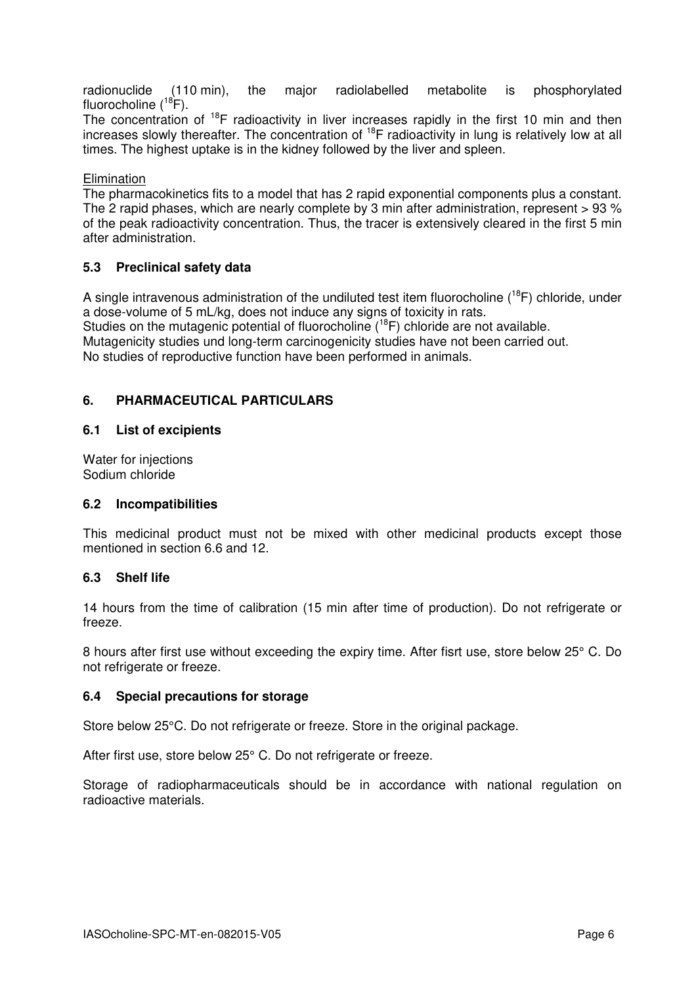radionuclide (110 min), the major radiolabelled metabolite is phosphorylated fluorocholine  $(^{18}F)$ .

The concentration of  $18F$  radioactivity in liver increases rapidly in the first 10 min and then increases slowly thereafter. The concentration of <sup>18</sup>F radioactivity in lung is relatively low at all times. The highest uptake is in the kidney followed by the liver and spleen.

# **Elimination**

The pharmacokinetics fits to a model that has 2 rapid exponential components plus a constant. The 2 rapid phases, which are nearly complete by 3 min after administration, represent > 93 % of the peak radioactivity concentration. Thus, the tracer is extensively cleared in the first 5 min after administration.

# **5.3 Preclinical safety data**

A single intravenous administration of the undiluted test item fluorocholine  $(^{18}F)$  chloride, under a dose-volume of 5 mL/kg, does not induce any signs of toxicity in rats.

Studies on the mutagenic potential of fluorocholine  $(^{18}F)$  chloride are not available. Mutagenicity studies und long-term carcinogenicity studies have not been carried out. No studies of reproductive function have been performed in animals.

# **6. PHARMACEUTICAL PARTICULARS**

# **6.1 List of excipients**

Water for injections Sodium chloride

# **6.2 Incompatibilities**

This medicinal product must not be mixed with other medicinal products except those mentioned in section 6.6 and 12.

# **6.3 Shelf life**

14 hours from the time of calibration (15 min after time of production). Do not refrigerate or freeze.

8 hours after first use without exceeding the expiry time. After fisrt use, store below 25° C. Do not refrigerate or freeze.

# **6.4 Special precautions for storage**

Store below 25°C. Do not refrigerate or freeze. Store in the original package.

After first use, store below 25° C. Do not refrigerate or freeze.

Storage of radiopharmaceuticals should be in accordance with national regulation on radioactive materials.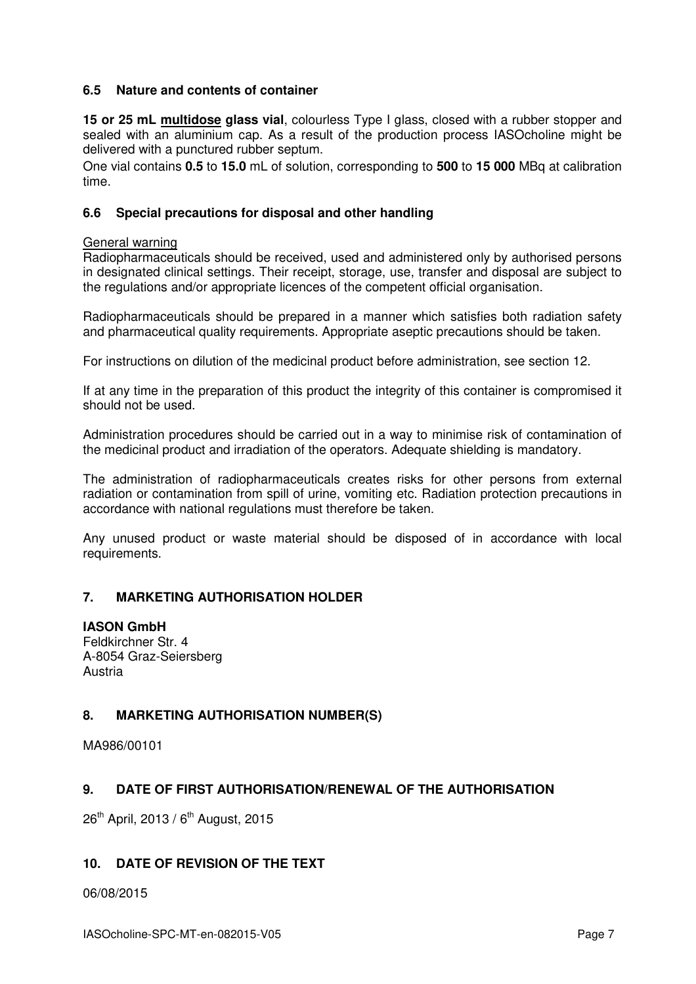# **6.5 Nature and contents of container**

**15 or 25 mL multidose glass vial**, colourless Type I glass, closed with a rubber stopper and sealed with an aluminium cap. As a result of the production process IASOcholine might be delivered with a punctured rubber septum.

One vial contains **0.5** to **15.0** mL of solution, corresponding to **500** to **15 000** MBq at calibration time.

# **6.6 Special precautions for disposal and other handling**

#### General warning

Radiopharmaceuticals should be received, used and administered only by authorised persons in designated clinical settings. Their receipt, storage, use, transfer and disposal are subject to the regulations and/or appropriate licences of the competent official organisation.

Radiopharmaceuticals should be prepared in a manner which satisfies both radiation safety and pharmaceutical quality requirements. Appropriate aseptic precautions should be taken.

For instructions on dilution of the medicinal product before administration, see section 12.

If at any time in the preparation of this product the integrity of this container is compromised it should not be used.

Administration procedures should be carried out in a way to minimise risk of contamination of the medicinal product and irradiation of the operators. Adequate shielding is mandatory.

The administration of radiopharmaceuticals creates risks for other persons from external radiation or contamination from spill of urine, vomiting etc. Radiation protection precautions in accordance with national regulations must therefore be taken.

Any unused product or waste material should be disposed of in accordance with local requirements.

# **7. MARKETING AUTHORISATION HOLDER**

# **IASON GmbH**

Feldkirchner Str. 4 A-8054 Graz-Seiersberg Austria

# **8. MARKETING AUTHORISATION NUMBER(S)**

MA986/00101

# **9. DATE OF FIRST AUTHORISATION/RENEWAL OF THE AUTHORISATION**

26<sup>th</sup> April, 2013 / 6<sup>th</sup> August, 2015

# **10. DATE OF REVISION OF THE TEXT**

06/08/2015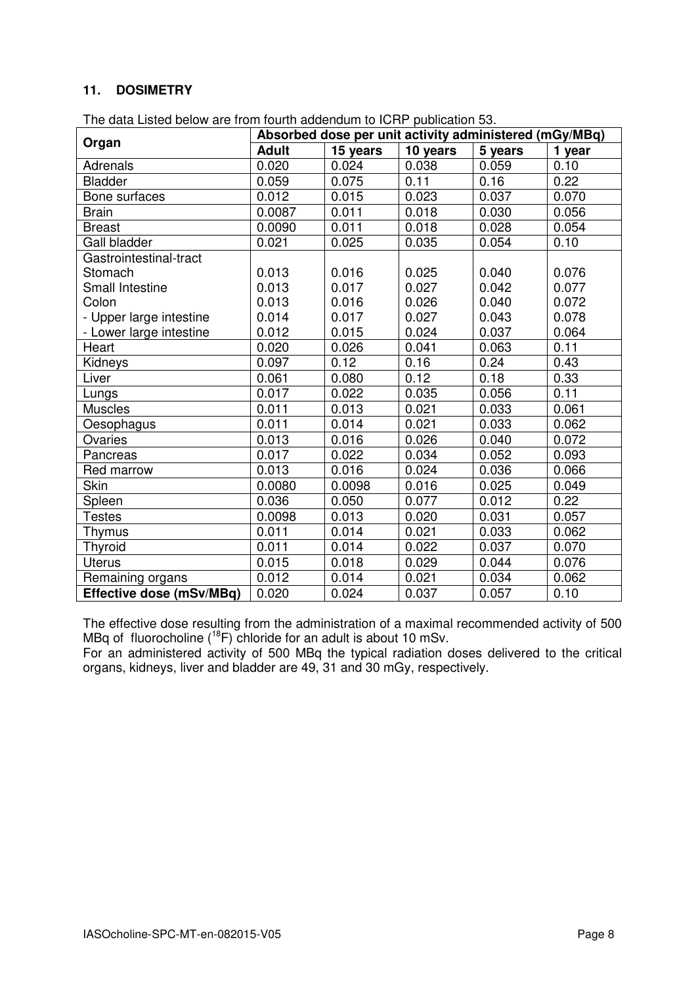# **11. DOSIMETRY**

| The data Listed below are from fourth addendum to ICRP publication 53. |                                                        |          |          |         |        |
|------------------------------------------------------------------------|--------------------------------------------------------|----------|----------|---------|--------|
| Organ                                                                  | Absorbed dose per unit activity administered (mGy/MBq) |          |          |         |        |
|                                                                        | <b>Adult</b>                                           | 15 years | 10 years | 5 years | 1 year |
| Adrenals                                                               | 0.020                                                  | 0.024    | 0.038    | 0.059   | 0.10   |
| <b>Bladder</b>                                                         | 0.059                                                  | 0.075    | 0.11     | 0.16    | 0.22   |
| Bone surfaces                                                          | 0.012                                                  | 0.015    | 0.023    | 0.037   | 0.070  |
| <b>Brain</b>                                                           | 0.0087                                                 | 0.011    | 0.018    | 0.030   | 0.056  |
| <b>Breast</b>                                                          | 0.0090                                                 | 0.011    | 0.018    | 0.028   | 0.054  |
| Gall bladder                                                           | 0.021                                                  | 0.025    | 0.035    | 0.054   | 0.10   |
| Gastrointestinal-tract                                                 |                                                        |          |          |         |        |
| Stomach                                                                | 0.013                                                  | 0.016    | 0.025    | 0.040   | 0.076  |
| Small Intestine                                                        | 0.013                                                  | 0.017    | 0.027    | 0.042   | 0.077  |
| Colon                                                                  | 0.013                                                  | 0.016    | 0.026    | 0.040   | 0.072  |
| - Upper large intestine                                                | 0.014                                                  | 0.017    | 0.027    | 0.043   | 0.078  |
| - Lower large intestine                                                | 0.012                                                  | 0.015    | 0.024    | 0.037   | 0.064  |
| Heart                                                                  | 0.020                                                  | 0.026    | 0.041    | 0.063   | 0.11   |
| Kidneys                                                                | 0.097                                                  | 0.12     | 0.16     | 0.24    | 0.43   |
| Liver                                                                  | 0.061                                                  | 0.080    | 0.12     | 0.18    | 0.33   |
| Lungs                                                                  | 0.017                                                  | 0.022    | 0.035    | 0.056   | 0.11   |
| <b>Muscles</b>                                                         | 0.011                                                  | 0.013    | 0.021    | 0.033   | 0.061  |
| Oesophagus                                                             | 0.011                                                  | 0.014    | 0.021    | 0.033   | 0.062  |
| Ovaries                                                                | 0.013                                                  | 0.016    | 0.026    | 0.040   | 0.072  |
| Pancreas                                                               | 0.017                                                  | 0.022    | 0.034    | 0.052   | 0.093  |
| Red marrow                                                             | 0.013                                                  | 0.016    | 0.024    | 0.036   | 0.066  |
| Skin                                                                   | 0.0080                                                 | 0.0098   | 0.016    | 0.025   | 0.049  |
| Spleen                                                                 | 0.036                                                  | 0.050    | 0.077    | 0.012   | 0.22   |
| <b>Testes</b>                                                          | 0.0098                                                 | 0.013    | 0.020    | 0.031   | 0.057  |
| Thymus                                                                 | 0.011                                                  | 0.014    | 0.021    | 0.033   | 0.062  |
| <b>Thyroid</b>                                                         | 0.011                                                  | 0.014    | 0.022    | 0.037   | 0.070  |
| <b>Uterus</b>                                                          | 0.015                                                  | 0.018    | 0.029    | 0.044   | 0.076  |
| Remaining organs                                                       | 0.012                                                  | 0.014    | 0.021    | 0.034   | 0.062  |

The effective dose resulting from the administration of a maximal recommended activity of 500 MBq of fluorocholine  $(^{18}F)$  chloride for an adult is about 10 mSv.

**Effective dose (mSv/MBq)** 0.020 0.024 0.037 0.057 0.10

For an administered activity of 500 MBq the typical radiation doses delivered to the critical organs, kidneys, liver and bladder are 49, 31 and 30 mGy, respectively.